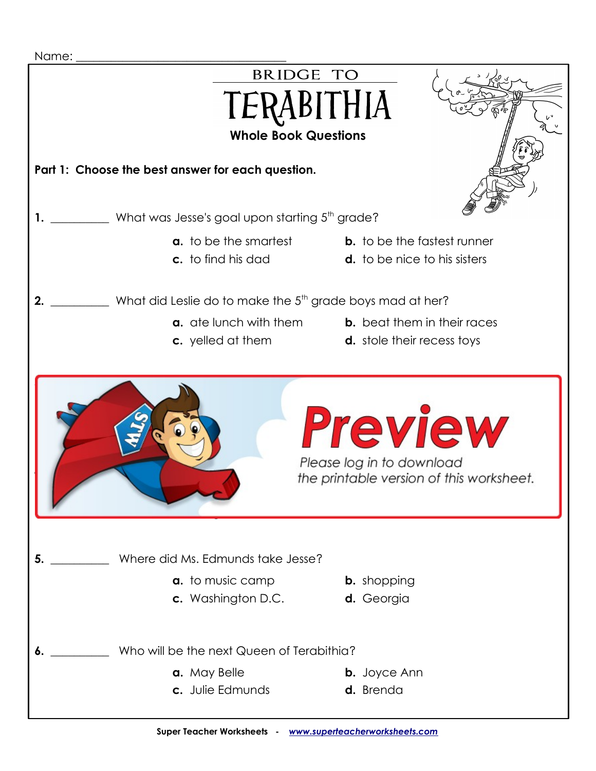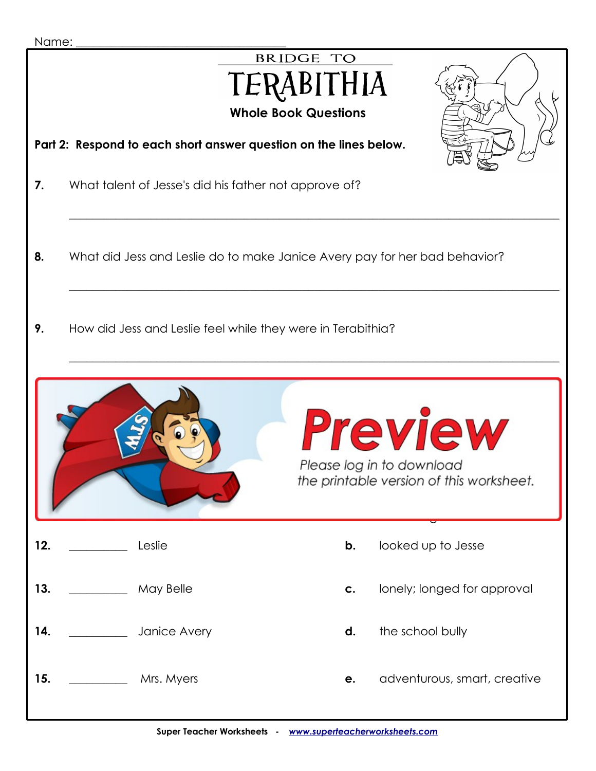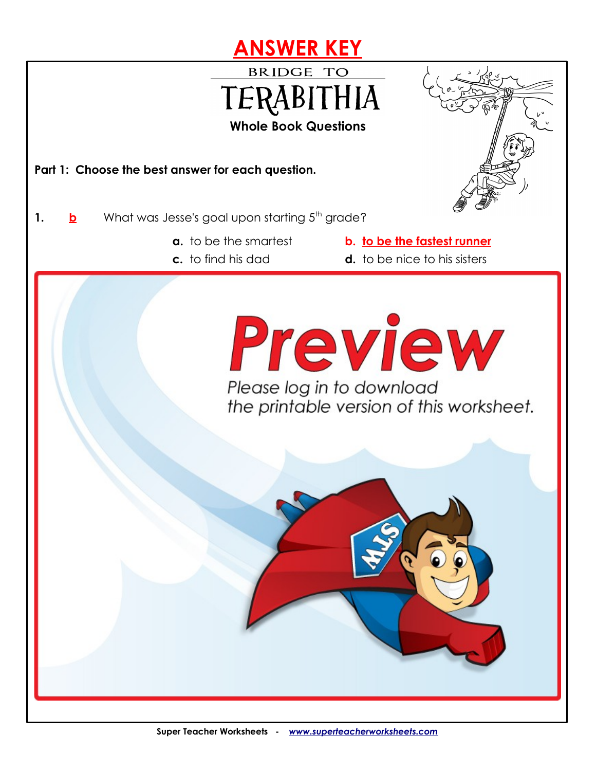